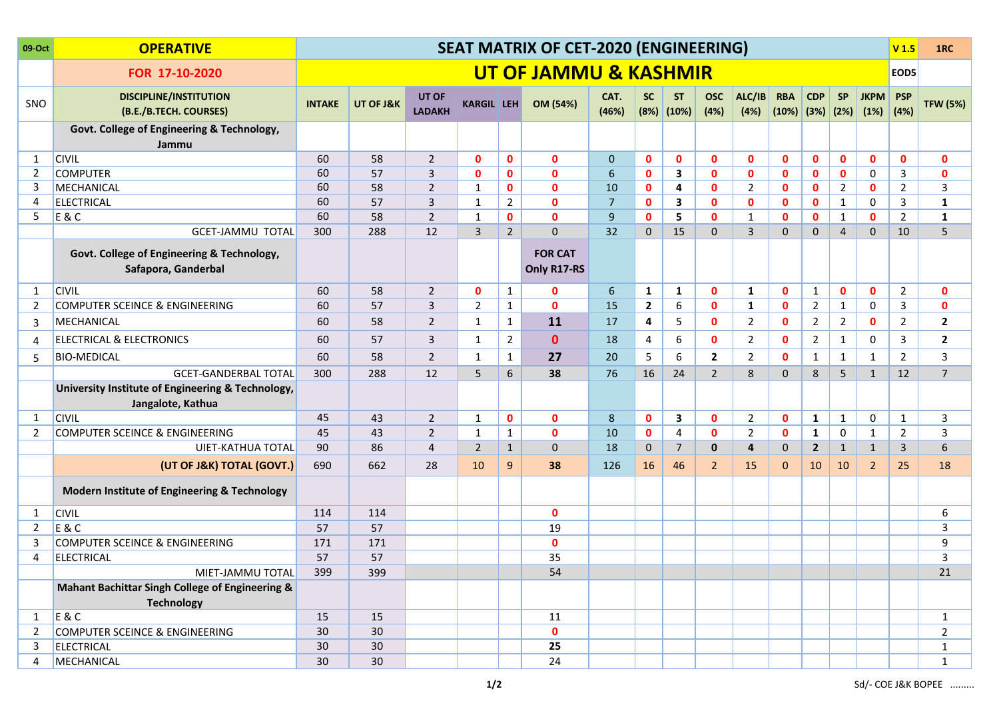| 09-Oct         | <b>OPERATIVE</b>                                                       | <b>SEAT MATRIX OF CET-2020 (ENGINEERING)</b> |                 |                        |                   |                |                               |                |                |                             |                    |                |                                                | V <sub>1.5</sub> | 1RC            |                |                    |                  |
|----------------|------------------------------------------------------------------------|----------------------------------------------|-----------------|------------------------|-------------------|----------------|-------------------------------|----------------|----------------|-----------------------------|--------------------|----------------|------------------------------------------------|------------------|----------------|----------------|--------------------|------------------|
|                | FOR 17-10-2020                                                         | <b>UT OF JAMMU &amp; KASHMIR</b>             |                 |                        |                   |                |                               |                |                |                             |                    |                |                                                |                  | EOD5           |                |                    |                  |
| SNO            | <b>DISCIPLINE/INSTITUTION</b><br>(B.E./B.TECH. COURSES)                | <b>INTAKE</b>                                | UT OF J&K       | UT OF<br><b>LADAKH</b> | <b>KARGIL LEH</b> |                | OM (54%)                      | CAT.<br>(46%)  | SC             | <b>ST</b><br>$(8%)$ $(10%)$ | <b>OSC</b><br>(4%) | ALC/IB<br>(4%) | <b>RBA</b><br>$(10\%)$ $(3\%)$ $(2\%)$ $(1\%)$ | <b>CDP</b>       | <b>SP</b>      | <b>JKPM</b>    | <b>PSP</b><br>(4%) | <b>TFW (5%)</b>  |
|                | Govt. College of Engineering & Technology,                             |                                              |                 |                        |                   |                |                               |                |                |                             |                    |                |                                                |                  |                |                |                    |                  |
| 1              | Jammu<br><b>CIVIL</b>                                                  | 60                                           | 58              | $\overline{2}$         | $\mathbf{0}$      | $\mathbf 0$    | $\mathbf{0}$                  | $\mathbf 0$    | $\mathbf{0}$   | $\mathbf{0}$                | $\mathbf{0}$       | $\mathbf{0}$   | $\mathbf{0}$                                   | $\mathbf{0}$     | $\mathbf{0}$   | $\mathbf{0}$   | $\mathbf{0}$       | $\mathbf 0$      |
| 2              | <b>COMPUTER</b>                                                        | 60                                           | 57              | $\overline{3}$         | $\mathbf{0}$      | $\mathbf{0}$   | $\mathbf{0}$                  | 6              | $\mathbf{0}$   | 3                           | $\mathbf{0}$       | $\mathbf{0}$   | $\mathbf{0}$                                   | $\mathbf{0}$     | $\mathbf{0}$   | $\Omega$       | $\overline{3}$     | $\mathbf{0}$     |
| 3              | MECHANICAL                                                             | 60                                           | 58              | $\overline{2}$         | $\mathbf{1}$      | $\mathbf{0}$   | $\mathbf{0}$                  | 10             | $\mathbf{0}$   | $\overline{a}$              | $\mathbf{0}$       | 2              | $\mathbf{0}$                                   | $\mathbf{0}$     | $\overline{2}$ | $\mathbf{0}$   | $\overline{2}$     | $\overline{3}$   |
| 4              | <b>ELECTRICAL</b>                                                      | 60                                           | 57              | $\mathsf{3}$           | $\mathbf{1}$      | $\overline{2}$ | $\mathbf{0}$                  | $\overline{7}$ | $\mathbf{0}$   | 3                           | $\mathbf{0}$       | $\mathbf{0}$   | $\mathbf{0}$                                   | $\mathbf{0}$     | $\mathbf{1}$   | 0              | $\overline{3}$     | ${\bf 1}$        |
| 5              | <b>E&amp;C</b>                                                         | 60                                           | 58              | $\overline{2}$         | $\mathbf{1}$      | $\mathbf{0}$   | $\mathbf{0}$                  | 9              | $\mathbf{0}$   | 5                           | $\mathbf{0}$       | 1              | $\mathbf{0}$                                   | $\mathbf 0$      | $\mathbf{1}$   | $\mathbf{0}$   | $\overline{2}$     | $\mathbf{1}$     |
|                | <b>GCET-JAMMU TOTAL</b>                                                | 300                                          | 288             | 12                     | $\overline{3}$    | $\overline{2}$ | $\mathbf{0}$                  | 32             | $\mathbf{0}$   | 15                          | $\Omega$           | $\overline{3}$ | $\mathbf{0}$                                   | $\mathbf{0}$     | $\overline{4}$ | $\mathbf{0}$   | 10                 | 5                |
|                | Govt. College of Engineering & Technology,<br>Safapora, Ganderbal      |                                              |                 |                        |                   |                | <b>FOR CAT</b><br>Only R17-RS |                |                |                             |                    |                |                                                |                  |                |                |                    |                  |
| -1             | <b>CIVIL</b>                                                           | 60                                           | 58              | $\overline{2}$         | $\mathbf{0}$      | $\mathbf{1}$   | $\mathbf{0}$                  | 6              | 1              | 1                           | $\mathbf{0}$       | 1              | $\mathbf{0}$                                   | $\mathbf{1}$     | $\mathbf{0}$   | $\mathbf{0}$   | $\overline{2}$     | $\mathbf 0$      |
| 2              | <b>COMPUTER SCEINCE &amp; ENGINEERING</b>                              | 60                                           | 57              | 3                      | $\overline{2}$    | $\mathbf{1}$   | $\mathbf 0$                   | 15             | $\overline{2}$ | 6                           | $\mathbf{0}$       | 1              | $\mathbf{0}$                                   | 2                | $\mathbf{1}$   | 0              | $\mathbf{3}$       | $\mathbf 0$      |
| 3              | MECHANICAL                                                             | 60                                           | 58              | $\overline{2}$         | $\mathbf{1}$      | $\mathbf{1}$   | 11                            | 17             | 4              | 5                           | $\mathbf{0}$       | 2              | $\mathbf{0}$                                   | $\overline{2}$   | $\overline{2}$ | 0              | $\overline{2}$     | $\overline{2}$   |
| 4              | ELECTRICAL & ELECTRONICS                                               | 60                                           | 57              | 3                      | $\mathbf{1}$      | $\overline{2}$ | $\mathbf{0}$                  | 18             | 4              | 6                           | $\mathbf{0}$       | 2              | 0                                              | $\overline{2}$   | $\mathbf{1}$   | 0              | 3                  | $\overline{2}$   |
| 5              | <b>BIO-MEDICAL</b>                                                     | 60                                           | 58              | $\overline{2}$         | $\mathbf{1}$      | $\mathbf{1}$   | 27                            | 20             | 5              | 6                           | $\overline{2}$     | $\overline{2}$ | $\mathbf{0}$                                   | $\mathbf{1}$     | $\mathbf{1}$   | $\mathbf{1}$   | $\overline{2}$     | $\mathbf{3}$     |
|                | <b>GCET-GANDERBAL TOTAL</b>                                            | 300                                          | 288             | 12                     | 5                 | 6              | 38                            | 76             | 16             | 24                          | $\overline{2}$     | 8              | 0                                              | 8                | 5              | $\mathbf{1}$   | 12                 | $\overline{7}$   |
|                | University Institute of Engineering & Technology,<br>Jangalote, Kathua |                                              |                 |                        |                   |                |                               |                |                |                             |                    |                |                                                |                  |                |                |                    |                  |
| 1              | <b>CIVIL</b>                                                           | 45                                           | 43              | $\overline{2}$         | $\mathbf{1}$      | $\mathbf 0$    | $\mathbf{0}$                  | 8              | $\mathbf{0}$   | 3                           | $\mathbf{0}$       | $\overline{2}$ | $\mathbf{0}$                                   | $\mathbf{1}$     | $\mathbf{1}$   | $\mathbf 0$    | $\mathbf{1}$       | 3                |
| 2              | COMPUTER SCEINCE & ENGINEERING                                         | 45                                           | 43              | $\overline{2}$         | $\mathbf{1}$      | $\mathbf{1}$   | $\mathbf{0}$                  | 10             | $\mathbf{0}$   | $\overline{4}$              | $\mathbf{0}$       | $\overline{2}$ | $\mathbf{0}$                                   | $\mathbf{1}$     | 0              | $\mathbf{1}$   | $\overline{2}$     | $\overline{3}$   |
|                | <b>UIET-KATHUA TOTAL</b>                                               | 90                                           | 86              | $\overline{4}$         | $\overline{2}$    | $\mathbf{1}$   | $\mathbf{0}$                  | 18             | $\mathbf{0}$   | $\overline{7}$              | $\mathbf{0}$       | $\overline{4}$ | 0                                              | $\overline{2}$   | $\mathbf{1}$   | $\mathbf{1}$   | $\overline{3}$     | $\boldsymbol{6}$ |
|                | (UT OF J&K) TOTAL (GOVT.)                                              | 690                                          | 662             | 28                     | 10                | 9              | 38                            | 126            | 16             | 46                          | $\overline{2}$     | 15             | 0                                              | 10               | 10             | $\overline{2}$ | 25                 | 18               |
|                | Modern Institute of Engineering & Technology                           |                                              |                 |                        |                   |                |                               |                |                |                             |                    |                |                                                |                  |                |                |                    |                  |
| 1              | <b>CIVIL</b>                                                           | 114                                          | 114             |                        |                   |                | $\mathbf{0}$                  |                |                |                             |                    |                |                                                |                  |                |                |                    | 6                |
| 2              | <b>E&amp;C</b>                                                         | 57                                           | 57              |                        |                   |                | 19                            |                |                |                             |                    |                |                                                |                  |                |                |                    | 3                |
| 3              | <b>COMPUTER SCEINCE &amp; ENGINEERING</b>                              | 171                                          | 171             |                        |                   |                | $\mathbf{0}$                  |                |                |                             |                    |                |                                                |                  |                |                |                    | 9                |
| 4              | <b>ELECTRICAL</b>                                                      | 57                                           | 57              |                        |                   |                | 35                            |                |                |                             |                    |                |                                                |                  |                |                |                    | 3                |
|                | MIET-JAMMU TOTAL                                                       | 399                                          | 399             |                        |                   |                | 54                            |                |                |                             |                    |                |                                                |                  |                |                |                    | $21\,$           |
|                | Mahant Bachittar Singh College of Engineering &<br><b>Technology</b>   |                                              |                 |                        |                   |                |                               |                |                |                             |                    |                |                                                |                  |                |                |                    |                  |
| 1              | E & C                                                                  | 15                                           | 15              |                        |                   |                | 11                            |                |                |                             |                    |                |                                                |                  |                |                |                    | $\mathbf{1}$     |
| $\overline{2}$ | COMPUTER SCEINCE & ENGINEERING                                         | 30                                           | 30 <sup>°</sup> |                        |                   |                | $\mathbf 0$                   |                |                |                             |                    |                |                                                |                  |                |                |                    | $\overline{2}$   |
| 3              | ELECTRICAL                                                             | 30 <sup>°</sup>                              | 30 <sup>°</sup> |                        |                   |                | 25                            |                |                |                             |                    |                |                                                |                  |                |                |                    | $\mathbf{1}$     |
| 4              | MECHANICAL                                                             | 30 <sup>°</sup>                              | 30              |                        |                   |                | 24                            |                |                |                             |                    |                |                                                |                  |                |                |                    | $\mathbf{1}$     |